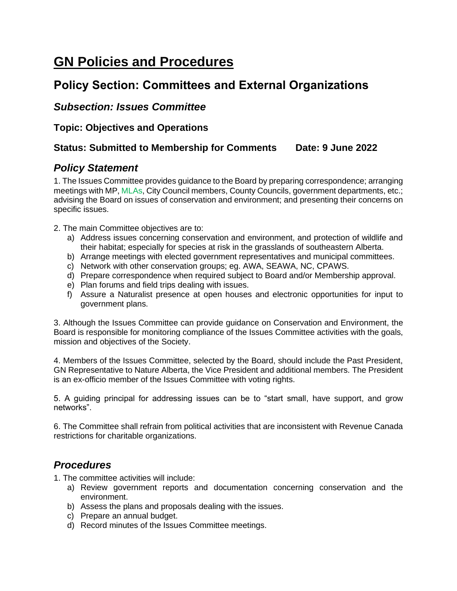# **GN Policies and Procedures**

# **Policy Section: Committees and External Organizations**

### *Subsection: Issues Committee*

**Topic: Objectives and Operations**

#### **Status: Submitted to Membership for Comments Date: 9 June 2022**

# *Policy Statement*

1. The Issues Committee provides guidance to the Board by preparing correspondence; arranging meetings with MP, MLAs, City Council members, County Councils, government departments, etc.; advising the Board on issues of conservation and environment; and presenting their concerns on specific issues.

2. The main Committee objectives are to:

- a) Address issues concerning conservation and environment, and protection of wildlife and their habitat; especially for species at risk in the grasslands of southeastern Alberta.
- b) Arrange meetings with elected government representatives and municipal committees.
- c) Network with other conservation groups; eg. AWA, SEAWA, NC, CPAWS.
- d) Prepare correspondence when required subject to Board and/or Membership approval.
- e) Plan forums and field trips dealing with issues.
- f) Assure a Naturalist presence at open houses and electronic opportunities for input to government plans.

3. Although the Issues Committee can provide guidance on Conservation and Environment, the Board is responsible for monitoring compliance of the Issues Committee activities with the goals, mission and objectives of the Society.

4. Members of the Issues Committee, selected by the Board, should include the Past President, GN Representative to Nature Alberta, the Vice President and additional members. The President is an ex-officio member of the Issues Committee with voting rights.

5. A guiding principal for addressing issues can be to "start small, have support, and grow networks".

6. The Committee shall refrain from political activities that are inconsistent with Revenue Canada restrictions for charitable organizations.

# *Procedures*

1. The committee activities will include:

- a) Review government reports and documentation concerning conservation and the environment.
- b) Assess the plans and proposals dealing with the issues.
- c) Prepare an annual budget.
- d) Record minutes of the Issues Committee meetings.